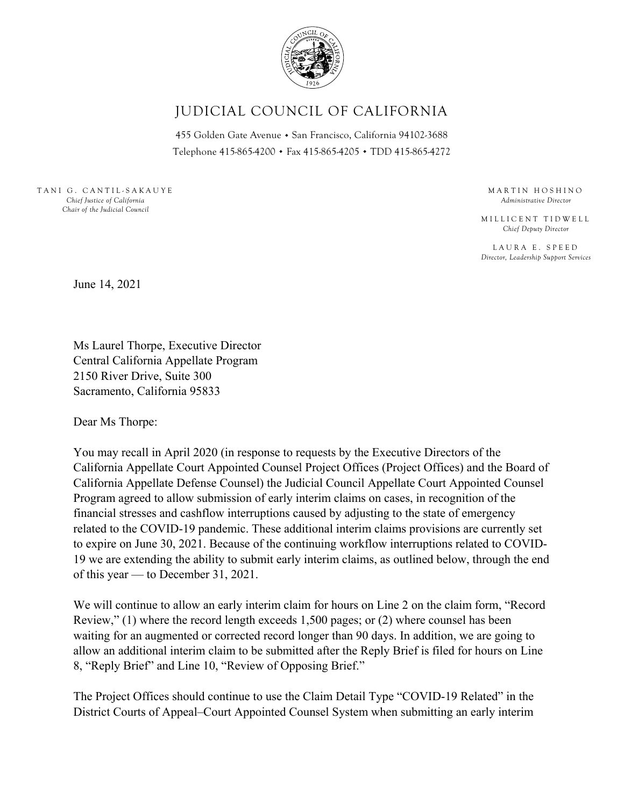

## JUDICIAL COUNCIL OF CALIFORNIA

455 Golden Gate Avenue · San Francisco, California 94102-3688 Telephone 415-865-4200 . Fax 415-865-4205 . TDD 415-865-4272

TANI G. CANTIL-SAKAUYE *Chief Justice of California Chair of the Judicial Council* 

MARTIN HOSHINO *Administrative Director* 

MILLICENT TIDWELL *Chief Deputy Director* 

LAURA E. SPEED *Director, Leadership Support Services* 

June 14, 2021

Ms Laurel Thorpe, Executive Director Central California Appellate Program 2150 River Drive, Suite 300 Sacramento, California 95833

Dear Ms Thorpe:

You may recall in April 2020 (in response to requests by the Executive Directors of the California Appellate Court Appointed Counsel Project Offices (Project Offices) and the Board of California Appellate Defense Counsel) the Judicial Council Appellate Court Appointed Counsel Program agreed to allow submission of early interim claims on cases, in recognition of the financial stresses and cashflow interruptions caused by adjusting to the state of emergency related to the COVID-19 pandemic. These additional interim claims provisions are currently set to expire on June 30, 2021. Because of the continuing workflow interruptions related to COVID-19 we are extending the ability to submit early interim claims, as outlined below, through the end of this year — to December 31, 2021.

We will continue to allow an early interim claim for hours on Line 2 on the claim form, "Record Review," (1) where the record length exceeds 1,500 pages; or (2) where counsel has been waiting for an augmented or corrected record longer than 90 days. In addition, we are going to allow an additional interim claim to be submitted after the Reply Brief is filed for hours on Line 8, "Reply Brief" and Line 10, "Review of Opposing Brief."

The Project Offices should continue to use the Claim Detail Type "COVID-19 Related" in the District Courts of Appeal–Court Appointed Counsel System when submitting an early interim